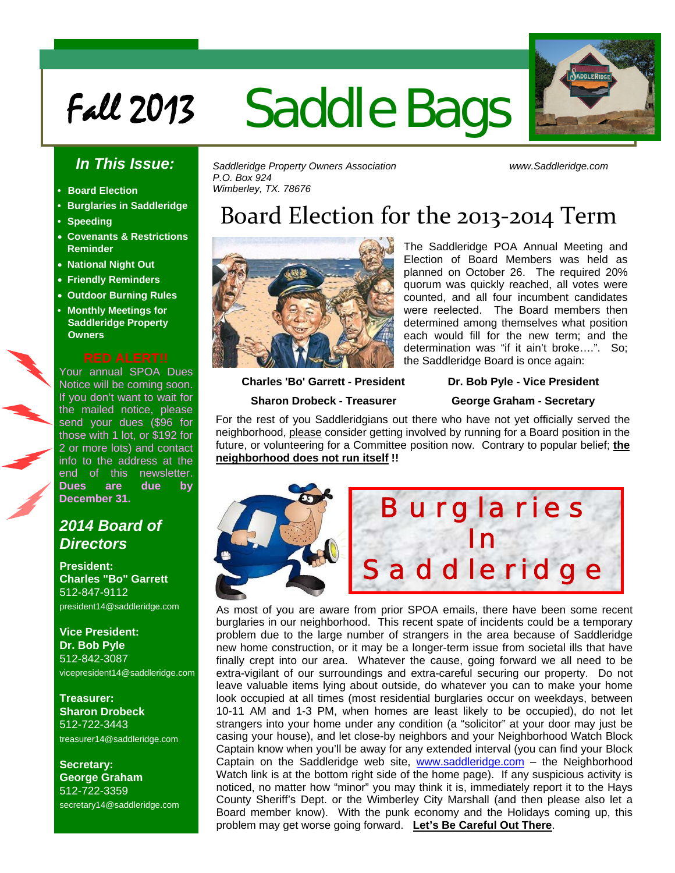# Fall 2013 Saddle Bags



### *In This Issue:*

- **Board Election**
- **Burglaries in Saddleridge**
- **Speeding**
- **Covenants & Restrictions Reminder**
- **National Night Out**
- **Friendly Reminders**
- **Outdoor Burning Rules**
- **Monthly Meetings for Saddleridge Property Owners**

Your annual SPOA Dues Notice will be coming soon. If you don't want to wait for the mailed notice, please send your dues (\$96 for those with 1 lot, or \$192 for 2 or more lots) and contact info to the address at the end of this newsletter. **Dues are due by December 31.** 

### *2014 Board of Directors*

**President: Charles "Bo" Garrett**  512-847-9112 president14@saddleridge.com

**Vice President: Dr. Bob Pyle** 512-842-3087 vicepresident14@saddleridge.com

**Treasurer: Sharon Drobeck** 512-722-3443 treasurer14@saddleridge.com

**Secretary: George Graham** 512-722-3359 secretary14@saddleridge.com *Saddleridge Property Owners Association www.Saddleridge.com P.O. Box 924 Wimberley, TX. 78676* 

## Board Election for the 2013‐2014 Term



The Saddleridge POA Annual Meeting and Election of Board Members was held as planned on October 26. The required 20% quorum was quickly reached, all votes were counted, and all four incumbent candidates were reelected. The Board members then determined among themselves what position each would fill for the new term; and the determination was "if it ain't broke….". So; the Saddleridge Board is once again:

 **Charles 'Bo' Garrett - President Dr. Bob Pyle - Vice President** 

 **Sharon Drobeck - Treasurer George Graham - Secretary** 

For the rest of you Saddleridgians out there who have not yet officially served the neighborhood, please consider getting involved by running for a Board position in the future, or volunteering for a Committee position now. Contrary to popular belief; **the neighborhood does not run itself !!**



As most of you are aware from prior SPOA emails, there have been some recent burglaries in our neighborhood. This recent spate of incidents could be a temporary problem due to the large number of strangers in the area because of Saddleridge new home construction, or it may be a longer-term issue from societal ills that have finally crept into our area. Whatever the cause, going forward we all need to be extra-vigilant of our surroundings and extra-careful securing our property. Do not leave valuable items lying about outside, do whatever you can to make your home look occupied at all times (most residential burglaries occur on weekdays, between 10-11 AM and 1-3 PM, when homes are least likely to be occupied), do not let strangers into your home under any condition (a "solicitor" at your door may just be casing your house), and let close-by neighbors and your Neighborhood Watch Block Captain know when you'll be away for any extended interval (you can find your Block Captain on the Saddleridge web site, [www.saddleridge.com](http://www.saddleridge.com/) - the Neighborhood Watch link is at the bottom right side of the home page). If any suspicious activity is noticed, no matter how "minor" you may think it is, immediately report it to the Hays County Sheriff's Dept. or the Wimberley City Marshall (and then please also let a Board member know). With the punk economy and the Holidays coming up, this problem may get worse going forward. **Let's Be Careful Out There**.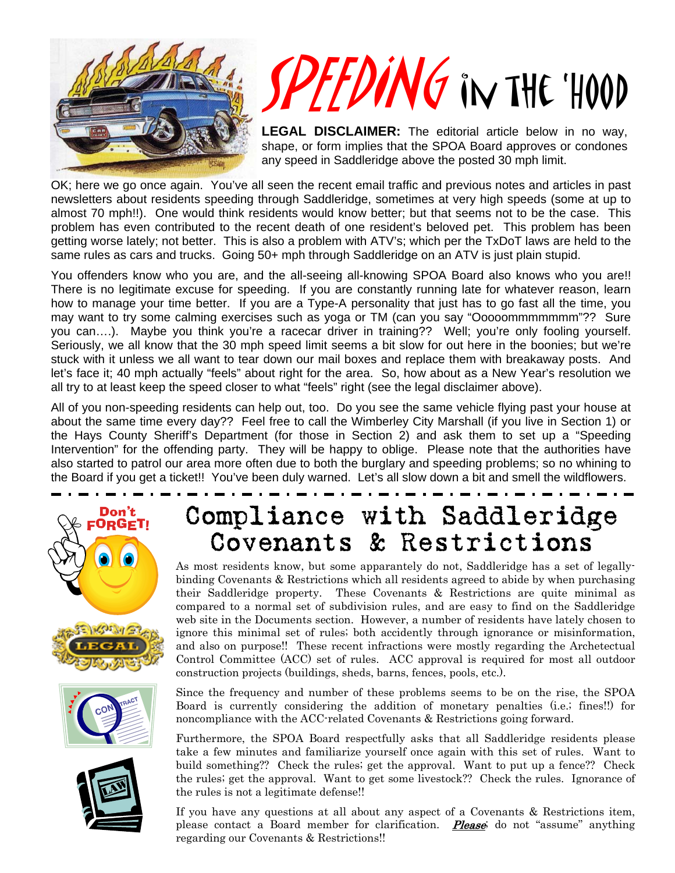

# PEEDING IN THE 'HOOD

**LEGAL DISCLAIMER:** The editorial article below in no way, shape, or form implies that the SPOA Board approves or condones any speed in Saddleridge above the posted 30 mph limit.

OK; here we go once again. You've all seen the recent email traffic and previous notes and articles in past newsletters about residents speeding through Saddleridge, sometimes at very high speeds (some at up to almost 70 mph!!). One would think residents would know better; but that seems not to be the case. This problem has even contributed to the recent death of one resident's beloved pet. This problem has been getting worse lately; not better. This is also a problem with ATV's; which per the TxDoT laws are held to the same rules as cars and trucks. Going 50+ mph through Saddleridge on an ATV is just plain stupid.

You offenders know who you are, and the all-seeing all-knowing SPOA Board also knows who you are!! There is no legitimate excuse for speeding. If you are constantly running late for whatever reason, learn how to manage your time better. If you are a Type-A personality that just has to go fast all the time, you may want to try some calming exercises such as yoga or TM (can you say "Ooooommmmmmm"?? Sure you can….). Maybe you think you're a racecar driver in training?? Well; you're only fooling yourself. Seriously, we all know that the 30 mph speed limit seems a bit slow for out here in the boonies; but we're stuck with it unless we all want to tear down our mail boxes and replace them with breakaway posts. And let's face it; 40 mph actually "feels" about right for the area. So, how about as a New Year's resolution we all try to at least keep the speed closer to what "feels" right (see the legal disclaimer above).

All of you non-speeding residents can help out, too. Do you see the same vehicle flying past your house at about the same time every day?? Feel free to call the Wimberley City Marshall (if you live in Section 1) or the Hays County Sheriff's Department (for those in Section 2) and ask them to set up a "Speeding Intervention" for the offending party. They will be happy to oblige. Please note that the authorities have also started to patrol our area more often due to both the burglary and speeding problems; so no whining to the Board if you get a ticket!! You've been duly warned. Let's all slow down a bit and smell the wildflowers.







## Compliance with Saddleridge Covenants & Restrictions

As most residents know, but some apparantely do not, Saddleridge has a set of legallybinding Covenants & Restrictions which all residents agreed to abide by when purchasing their Saddleridge property. These Covenants & Restrictions are quite minimal as compared to a normal set of subdivision rules, and are easy to find on the Saddleridge web site in the Documents section. However, a number of residents have lately chosen to ignore this minimal set of rules; both accidently through ignorance or misinformation, and also on purpose!! These recent infractions were mostly regarding the Archetectual Control Committee (ACC) set of rules. ACC approval is required for most all outdoor construction projects (buildings, sheds, barns, fences, pools, etc.).

Since the frequency and number of these problems seems to be on the rise, the SPOA Board is currently considering the addition of monetary penalties (i.e.; fines!!) for noncompliance with the ACC-related Covenants & Restrictions going forward.

Furthermore, the SPOA Board respectfully asks that all Saddleridge residents please take a few minutes and familiarize yourself once again with this set of rules. Want to build something?? Check the rules; get the approval. Want to put up a fence?? Check the rules; get the approval. Want to get some livestock?? Check the rules. Ignorance of the rules is not a legitimate defense!!

If you have any questions at all about any aspect of a Covenants & Restrictions item, please contact a Board member for clarification. **Please** do not "assume" anything regarding our Covenants & Restrictions!!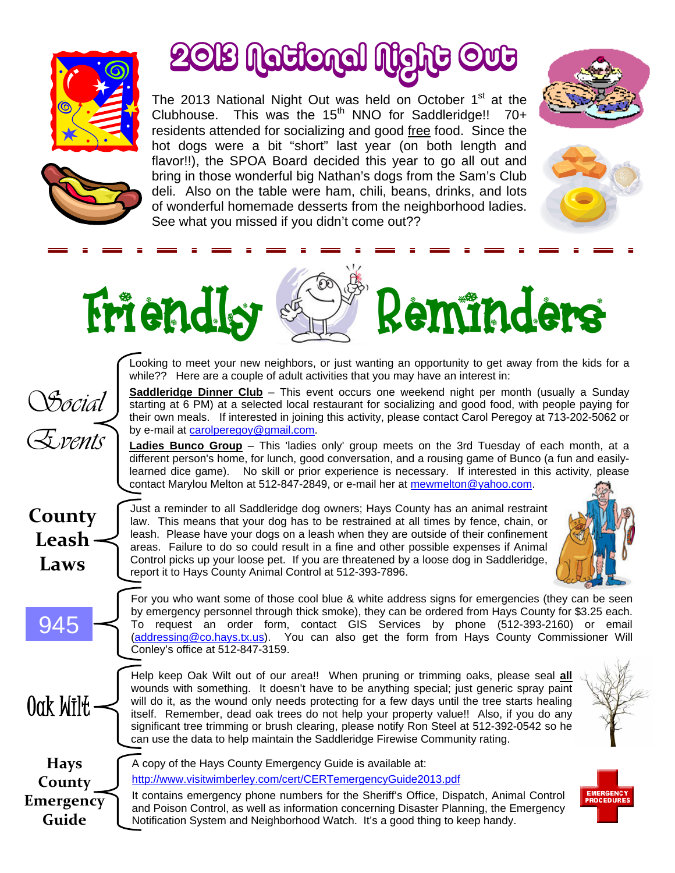

# 2013 National Night Out

The 2013 National Night Out was held on October 1<sup>st</sup> at the Clubhouse. This was the  $15<sup>th</sup>$  NNO for Saddleridge!! 70+ residents attended for socializing and good free food. Since the hot dogs were a bit "short" last year (on both length and flavor!!), the SPOA Board decided this year to go all out and bring in those wonderful big Nathan's dogs from the Sam's Club deli. Also on the table were ham, chili, beans, drinks, and lots of wonderful homemade desserts from the neighborhood ladies. See what you missed if you didn't come out??







# Friendly Reminders

Looking to meet your new neighbors, or just wanting an opportunity to get away from the kids for a while?? Here are a couple of adult activities that you may have an interest in:

**Saddleridge Dinner Club** – This event occurs one weekend night per month (usually a Sunday starting at 6 PM) at a selected local restaurant for socializing and good food, with people paying for their own meals. If interested in joining this activity, please contact Carol Peregoy at 713-202-5062 or by e-mail at [carolperegoy@gmail.com](mailto:carolperegoy@gmail.com).

**Ladies Bunco Group** – This 'ladies only' group meets on the 3rd Tuesday of each month, at a different person's home, for lunch, good conversation, and a rousing game of Bunco (a fun and easilylearned dice game). No skill or prior experience is necessary. If interested in this activity, please contact Marylou Melton at 512-847-2849, or e-mail her at [mewmelton@yahoo.com.](mailto:mewmelton@yahoo.com)

**County Leash Laws**

945

Oak Wilt

*Social* 

*Events* 

Just a reminder to all Saddleridge dog owners; Hays County has an animal restraint law. This means that your dog has to be restrained at all times by fence, chain, or leash. Please have your dogs on a leash when they are outside of their confinement areas. Failure to do so could result in a fine and other possible expenses if Animal Control picks up your loose pet. If you are threatened by a loose dog in Saddleridge, report it to Hays County Animal Control at 512-393-7896.



For you who want some of those cool blue & white address signs for emergencies (they can be seen by emergency personnel through thick smoke), they can be ordered from Hays County for \$3.25 each. To request an order form, contact GIS Services by phone (512-393-2160) or email (addressing@co.hays.tx.us). You can also get the form from Hays County Commissioner Will Conley's office at 512-847-3159.

Help keep Oak Wilt out of our area!! When pruning or trimming oaks, please seal **all** wounds with something. It doesn't have to be anything special; just generic spray paint will do it, as the wound only needs protecting for a few days until the tree starts healing itself. Remember, dead oak trees do not help your property value!! Also, if you do any significant tree trimming or brush clearing, please notify Ron Steel at 512-392-0542 so he can use the data to help maintain the Saddleridge Firewise Community rating.



**Hays County Emergency Guide**

A copy of the Hays County Emergency Guide is available at: http://www.visitwimberley.com/cert/CERTemergencyGuide2013.pdf

It contains emergency phone numbers for the Sheriff's Office, Dispatch, Animal Control and Poison Control, as well as information concerning Disaster Planning, the Emergency Notification System and Neighborhood Watch. It's a good thing to keep handy.